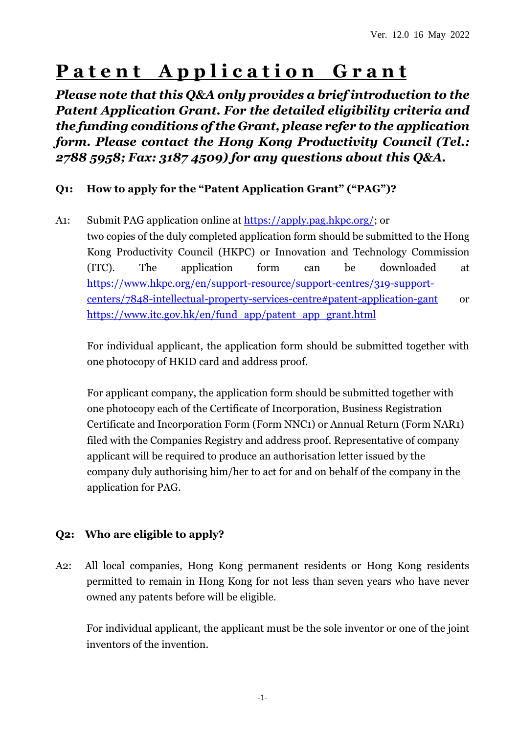# **Patent Application Grant**

*Please note that this Q&A only provides a brief introduction to the Patent Application Grant. For the detailed eligibility criteria and the funding conditions of the Grant, please refer to the application form. Please contact the Hong Kong Productivity Council (Tel.: 2788 5958; Fax: 3187 4509) for any questions about this Q&A.*

## **Q1: How to apply for the "Patent Application Grant" ("PAG")?**

A1: Submit PAG application online at [https://apply.pag.hkpc.org/;](https://apply.pag.hkpc.org/) or two copies of the duly completed application form should be submitted to the Hong Kong Productivity Council (HKPC) or Innovation and Technology Commission (ITC). The application form can be downloaded at [https://www.hkpc.org/en/support-resource/support-centres/319-support](https://www.hkpc.org/en/support-resource/support-centres/319-support-centers/7848-intellectual-property-services-centre#patent-application-gant)[centers/7848-intellectual-property-services-centre#patent-application-gant](https://www.hkpc.org/en/support-resource/support-centres/319-support-centers/7848-intellectual-property-services-centre#patent-application-gant) or [https://www.itc.gov.hk/en/fund\\_app/patent\\_app\\_grant.html](https://www.itc.gov.hk/en/fund_app/patent_app_grant.html)

For individual applicant, the application form should be submitted together with one photocopy of HKID card and address proof.

For applicant company, the application form should be submitted together with one photocopy each of the Certificate of Incorporation, Business Registration Certificate and Incorporation Form (Form NNC1) or Annual Return (Form NAR1) filed with the Companies Registry and address proof. Representative of company applicant will be required to produce an authorisation letter issued by the company duly authorising him/her to act for and on behalf of the company in the application for PAG.

## **Q2: Who are eligible to apply?**

A2: All local companies, Hong Kong permanent residents or Hong Kong residents permitted to remain in Hong Kong for not less than seven years who have never owned any patents before will be eligible.

For individual applicant, the applicant must be the sole inventor or one of the joint inventors of the invention.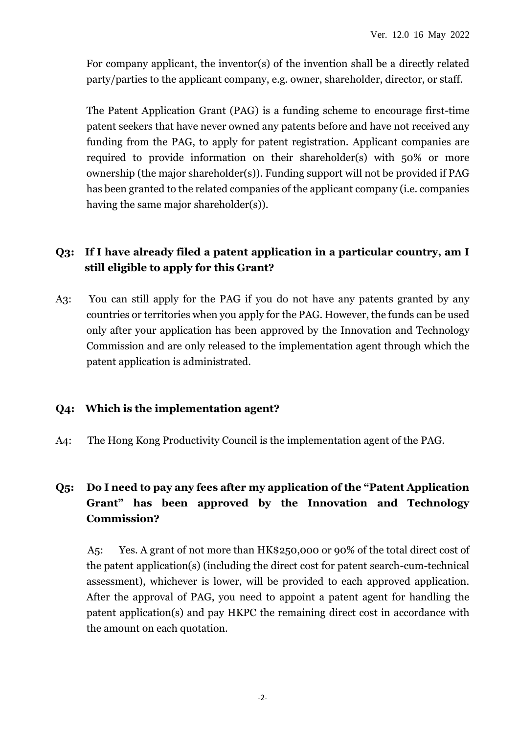For company applicant, the inventor(s) of the invention shall be a directly related party/parties to the applicant company, e.g. owner, shareholder, director, or staff.

The Patent Application Grant (PAG) is a funding scheme to encourage first-time patent seekers that have never owned any patents before and have not received any funding from the PAG, to apply for patent registration. Applicant companies are required to provide information on their shareholder(s) with 50% or more ownership (the major shareholder(s)). Funding support will not be provided if PAG has been granted to the related companies of the applicant company (i.e. companies having the same major shareholder(s)).

## **Q3: If I have already filed a patent application in a particular country, am I still eligible to apply for this Grant?**

A3: You can still apply for the PAG if you do not have any patents granted by any countries or territories when you apply for the PAG. However, the funds can be used only after your application has been approved by the Innovation and Technology Commission and are only released to the implementation agent through which the patent application is administrated.

#### **Q4: Which is the implementation agent?**

A4: The Hong Kong Productivity Council is the implementation agent of the PAG.

## **Q5: Do I need to pay any fees after my application of the "Patent Application Grant" has been approved by the Innovation and Technology Commission?**

A5: Yes. A grant of not more than HK\$250,000 or 90% of the total direct cost of the patent application(s) (including the direct cost for patent search-cum-technical assessment), whichever is lower, will be provided to each approved application. After the approval of PAG, you need to appoint a patent agent for handling the patent application(s) and pay HKPC the remaining direct cost in accordance with the amount on each quotation.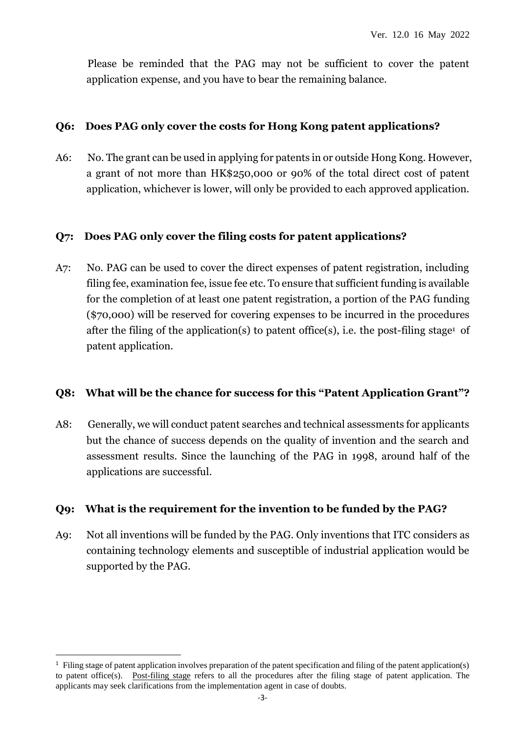Please be reminded that the PAG may not be sufficient to cover the patent application expense, and you have to bear the remaining balance.

#### **Q6: Does PAG only cover the costs for Hong Kong patent applications?**

A6: No. The grant can be used in applying for patents in or outside Hong Kong. However, a grant of not more than HK\$250,000 or 90% of the total direct cost of patent application, whichever is lower, will only be provided to each approved application.

#### **Q7: Does PAG only cover the filing costs for patent applications?**

A7: No. PAG can be used to cover the direct expenses of patent registration, including filing fee, examination fee, issue fee etc. To ensure that sufficient funding is available for the completion of at least one patent registration, a portion of the PAG funding (\$70,000) will be reserved for covering expenses to be incurred in the procedures after the filing of the application(s) to patent office(s), i.e. the post-filing stage<sup>1</sup> of patent application.

#### **Q8: What will be the chance for success for this "Patent Application Grant"?**

A8: Generally, we will conduct patent searches and technical assessments for applicants but the chance of success depends on the quality of invention and the search and assessment results. Since the launching of the PAG in 1998, around half of the applications are successful.

#### **Q9: What is the requirement for the invention to be funded by the PAG?**

A9: Not all inventions will be funded by the PAG. Only inventions that ITC considers as containing technology elements and susceptible of industrial application would be supported by the PAG.

 $\overline{a}$ 

 $<sup>1</sup>$  Filing stage of patent application involves preparation of the patent specification and filing of the patent application(s)</sup> to patent office(s). Post-filing stage refers to all the procedures after the filing stage of patent application. The applicants may seek clarifications from the implementation agent in case of doubts.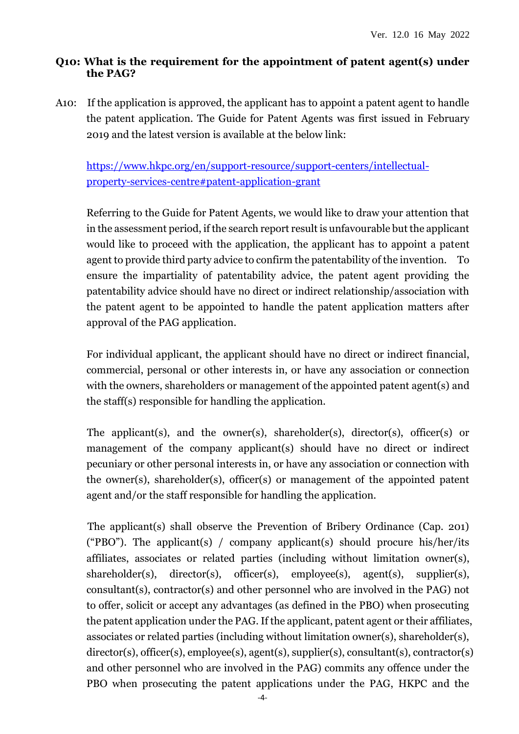#### **Q10: What is the requirement for the appointment of patent agent(s) under the PAG?**

A10: If the application is approved, the applicant has to appoint a patent agent to handle the patent application. The Guide for Patent Agents was first issued in February 2019 and the latest version is available at the below link:

[https://www.hkpc.org/en/support-resource/support-centers/intellectual](https://www.hkpc.org/en/support-resource/support-centers/intellectual-property-services-centre#patent-application-grant)[property-services-centre#patent-application-grant](https://www.hkpc.org/en/support-resource/support-centers/intellectual-property-services-centre#patent-application-grant)

Referring to the Guide for Patent Agents, we would like to draw your attention that in the assessment period, if the search report result is unfavourable but the applicant would like to proceed with the application, the applicant has to appoint a patent agent to provide third party advice to confirm the patentability of the invention. To ensure the impartiality of patentability advice, the patent agent providing the patentability advice should have no direct or indirect relationship/association with the patent agent to be appointed to handle the patent application matters after approval of the PAG application.

For individual applicant, the applicant should have no direct or indirect financial, commercial, personal or other interests in, or have any association or connection with the owners, shareholders or management of the appointed patent agent(s) and the staff(s) responsible for handling the application.

The applicant(s), and the owner(s), shareholder(s), director(s), officer(s) or management of the company applicant(s) should have no direct or indirect pecuniary or other personal interests in, or have any association or connection with the owner(s), shareholder(s), officer(s) or management of the appointed patent agent and/or the staff responsible for handling the application.

The applicant(s) shall observe the Prevention of Bribery Ordinance (Cap. 201) ("PBO"). The applicant(s) / company applicant(s) should procure his/her/its affiliates, associates or related parties (including without limitation owner(s), shareholder(s), director(s), officer(s), employee(s), agent(s), supplier(s), consultant(s), contractor(s) and other personnel who are involved in the PAG) not to offer, solicit or accept any advantages (as defined in the PBO) when prosecuting the patent application under the PAG. If the applicant, patent agent or their affiliates, associates or related parties (including without limitation owner(s), shareholder(s), director(s), officer(s), employee(s), agent(s), supplier(s), consultant(s), contractor(s) and other personnel who are involved in the PAG) commits any offence under the PBO when prosecuting the patent applications under the PAG, HKPC and the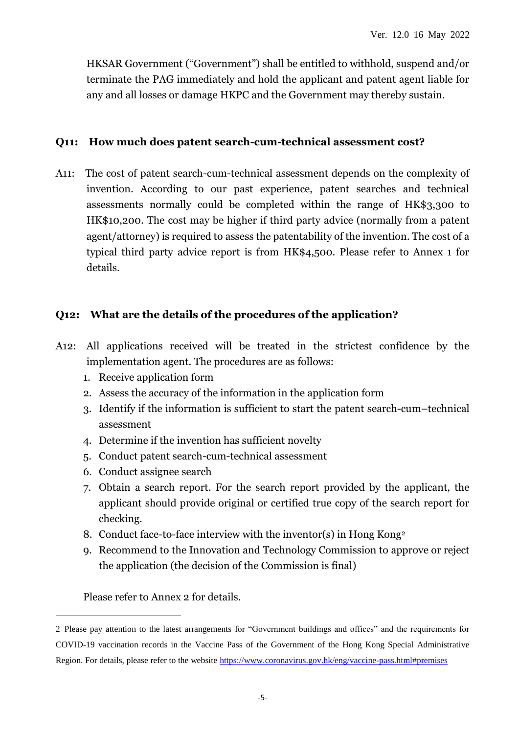HKSAR Government ("Government") shall be entitled to withhold, suspend and/or terminate the PAG immediately and hold the applicant and patent agent liable for any and all losses or damage HKPC and the Government may thereby sustain.

#### **Q11: How much does patent search-cum-technical assessment cost?**

A11: The cost of patent search-cum-technical assessment depends on the complexity of invention. According to our past experience, patent searches and technical assessments normally could be completed within the range of HK\$3,300 to HK\$10,200. The cost may be higher if third party advice (normally from a patent agent/attorney) is required to assess the patentability of the invention. The cost of a typical third party advice report is from HK\$4,500. Please refer to Annex 1 for details.

#### **Q12: What are the details of the procedures of the application?**

- A12: All applications received will be treated in the strictest confidence by the implementation agent. The procedures are as follows:
	- 1. Receive application form
	- 2. Assess the accuracy of the information in the application form
	- 3. Identify if the information is sufficient to start the patent search-cum–technical assessment
	- 4. Determine if the invention has sufficient novelty
	- 5. Conduct patent search-cum-technical assessment
	- 6. Conduct assignee search
	- 7. Obtain a search report. For the search report provided by the applicant, the applicant should provide original or certified true copy of the search report for checking.
	- 8. Conduct face-to-face interview with the inventor(s) in Hong Kong<sup>2</sup>
	- 9. Recommend to the Innovation and Technology Commission to approve or reject the application (the decision of the Commission is final)

Please refer to Annex 2 for details.

 $\overline{a}$ 

<sup>2</sup> Please pay attention to the latest arrangements for "Government buildings and offices" and the requirements for COVID-19 vaccination records in the Vaccine Pass of the Government of the Hong Kong Special Administrative Region. For details, please refer to the website<https://www.coronavirus.gov.hk/eng/vaccine-pass.html#premises>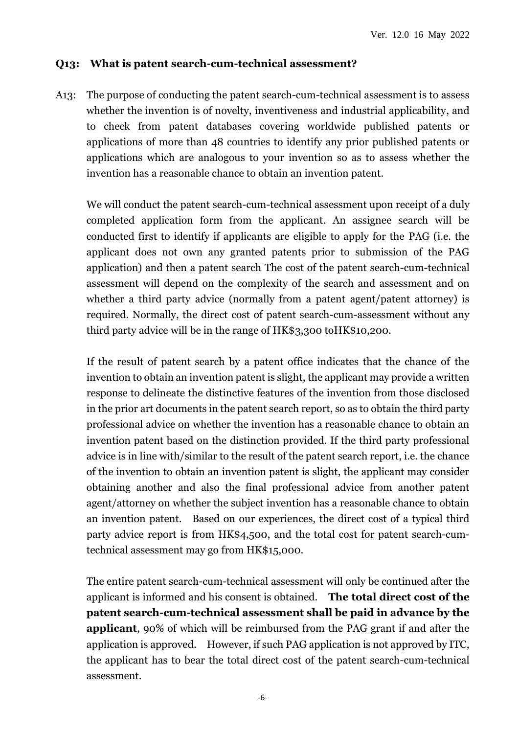#### **Q13: What is patent search-cum-technical assessment?**

A13: The purpose of conducting the patent search-cum-technical assessment is to assess whether the invention is of novelty, inventiveness and industrial applicability, and to check from patent databases covering worldwide published patents or applications of more than 48 countries to identify any prior published patents or applications which are analogous to your invention so as to assess whether the invention has a reasonable chance to obtain an invention patent.

We will conduct the patent search-cum-technical assessment upon receipt of a duly completed application form from the applicant. An assignee search will be conducted first to identify if applicants are eligible to apply for the PAG (i.e. the applicant does not own any granted patents prior to submission of the PAG application) and then a patent search The cost of the patent search-cum-technical assessment will depend on the complexity of the search and assessment and on whether a third party advice (normally from a patent agent/patent attorney) is required. Normally, the direct cost of patent search-cum-assessment without any third party advice will be in the range of HK\$3,300 toHK\$10,200.

If the result of patent search by a patent office indicates that the chance of the invention to obtain an invention patent is slight, the applicant may provide a written response to delineate the distinctive features of the invention from those disclosed in the prior art documents in the patent search report, so as to obtain the third party professional advice on whether the invention has a reasonable chance to obtain an invention patent based on the distinction provided. If the third party professional advice is in line with/similar to the result of the patent search report, i.e. the chance of the invention to obtain an invention patent is slight, the applicant may consider obtaining another and also the final professional advice from another patent agent/attorney on whether the subject invention has a reasonable chance to obtain an invention patent. Based on our experiences, the direct cost of a typical third party advice report is from HK\$4,500, and the total cost for patent search-cumtechnical assessment may go from HK\$15,000.

The entire patent search-cum-technical assessment will only be continued after the applicant is informed and his consent is obtained. **The total direct cost of the patent search-cum-technical assessment shall be paid in advance by the applicant**, 90% of which will be reimbursed from the PAG grant if and after the application is approved. However, if such PAG application is not approved by ITC, the applicant has to bear the total direct cost of the patent search-cum-technical assessment.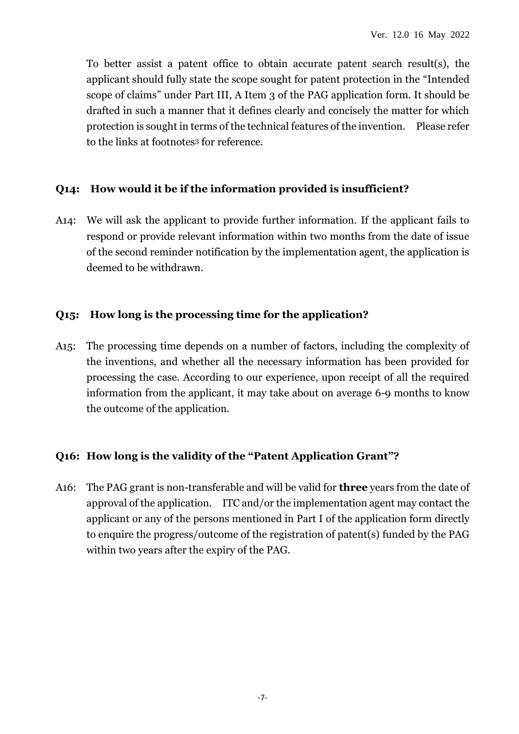To better assist a patent office to obtain accurate patent search result(s), the applicant should fully state the scope sought for patent protection in the "Intended scope of claims" under Part III, A Item 3 of the PAG application form. It should be drafted in such a manner that it defines clearly and concisely the matter for which protection is sought in terms of the technical features of the invention. Please refer to the links at footnotes<sup>3</sup> for reference.

### **Q14: How would it be if the information provided is insufficient?**

A14: We will ask the applicant to provide further information. If the applicant fails to respond or provide relevant information within two months from the date of issue of the second reminder notification by the implementation agent, the application is deemed to be withdrawn.

#### **Q15: How long is the processing time for the application?**

A15: The processing time depends on a number of factors, including the complexity of the inventions, and whether all the necessary information has been provided for processing the case. According to our experience, upon receipt of all the required information from the applicant, it may take about on average 6-9 months to know the outcome of the application.

#### **Q16: How long is the validity of the "Patent Application Grant"?**

A16: The PAG grant is non-transferable and will be valid for **three** years from the date of approval of the application. ITC and/or the implementation agent may contact the applicant or any of the persons mentioned in Part I of the application form directly to enquire the progress/outcome of the registration of patent(s) funded by the PAG within two years after the expiry of the PAG.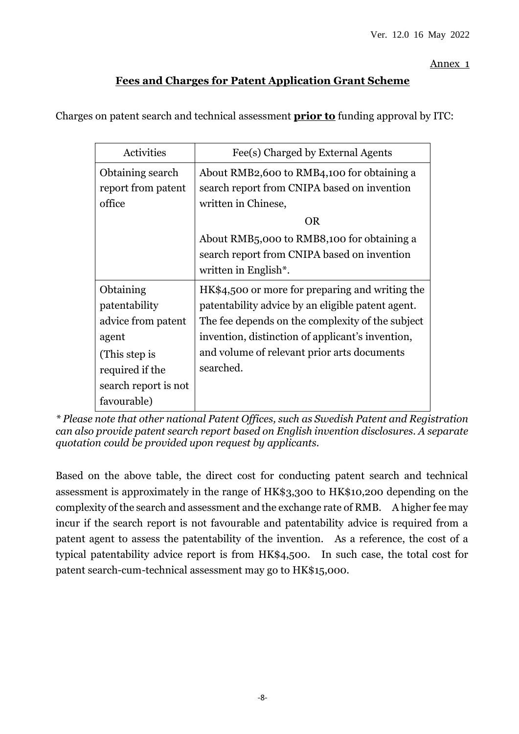Annex 1

### **Fees and Charges for Patent Application Grant Scheme**

Charges on patent search and technical assessment **prior to** funding approval by ITC:

| Activities           | Fee(s) Charged by External Agents                       |
|----------------------|---------------------------------------------------------|
| Obtaining search     | About RMB2,600 to RMB4,100 for obtaining a              |
| report from patent   | search report from CNIPA based on invention             |
| office               | written in Chinese,                                     |
|                      | <b>OR</b>                                               |
|                      | About RMB <sub>5</sub> ,000 to RMB8,100 for obtaining a |
|                      | search report from CNIPA based on invention             |
|                      | written in English*.                                    |
| Obtaining            | HK\$4,500 or more for preparing and writing the         |
| patentability        | patentability advice by an eligible patent agent.       |
| advice from patent   | The fee depends on the complexity of the subject        |
| agent                | invention, distinction of applicant's invention,        |
| (This step is        | and volume of relevant prior arts documents             |
| required if the      | searched.                                               |
| search report is not |                                                         |
| favourable)          |                                                         |

*\* Please note that other national Patent Offices, such as Swedish Patent and Registration can also provide patent search report based on English invention disclosures. A separate quotation could be provided upon request by applicants.*

Based on the above table, the direct cost for conducting patent search and technical assessment is approximately in the range of HK\$3,300 to HK\$10,200 depending on the complexity of the search and assessment and the exchange rate of RMB. A higher fee may incur if the search report is not favourable and patentability advice is required from a patent agent to assess the patentability of the invention. As a reference, the cost of a typical patentability advice report is from HK\$4,500. In such case, the total cost for patent search-cum-technical assessment may go to HK\$15,000.